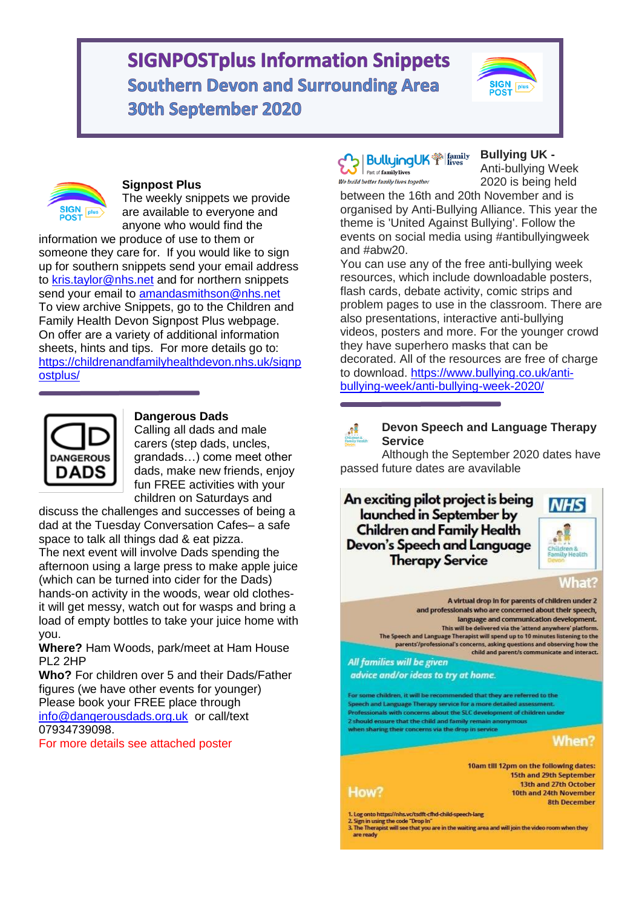# **SIGNPOSTplus Information Snippets Southern Devon and Surrounding Area 30th September 2020**





#### **Signpost Plus**

The weekly snippets we provide are available to everyone and anyone who would find the

information we produce of use to them or someone they care for. If you would like to sign up for southern snippets send your email address to [kris.taylor@nhs.net](mailto:kris.taylor@nhs.net) and for northern snippets send your email to [amandasmithson@nhs.net](mailto:amandasmithson@nhs.net)  To view archive Snippets, go to the Children and Family Health Devon Signpost Plus webpage. On offer are a variety of additional information sheets, hints and tips. For more details go to: [https://childrenandfamilyhealthdevon.nhs.uk/signp](https://childrenandfamilyhealthdevon.nhs.uk/signpostplus/) [ostplus/](https://childrenandfamilyhealthdevon.nhs.uk/signpostplus/)



#### **Dangerous Dads**

Calling all dads and male carers (step dads, uncles, grandads…) come meet other dads, make new friends, enjoy fun FREE activities with your children on Saturdays and

discuss the challenges and successes of being a dad at the Tuesday Conversation Cafes– a safe space to talk all things dad & eat pizza.

The next event will involve Dads spending the afternoon using a large press to make apple juice (which can be turned into cider for the Dads) hands-on activity in the woods, wear old clothesit will get messy, watch out for wasps and bring a load of empty bottles to take your juice home with you.

**Where?** Ham Woods, park/meet at Ham House PL2 2HP

**Who?** For children over 5 and their Dads/Father figures (we have other events for younger) Please book your FREE place through [info@dangerousdads.org.uk](mailto:info@dangerousdads.org.uk) or call/text 07934739098.

For more details see attached poster

#### **BulluingUK** <a> Part of family lives We build better family lives together

**Bullying UK -**

Anti-bullying Week 2020 is being held

between the 16th and 20th November and is organised by Anti-Bullying Alliance. This year the theme is 'United Against Bullying'. Follow the events on social media using #antibullyingweek and #abw20.

You can use any of the free anti-bullying week resources, which include downloadable posters, flash cards, debate activity, comic strips and problem pages to use in the classroom. There are also presentations, interactive anti-bullying videos, posters and more. For the younger crowd they have superhero masks that can be decorated. All of the resources are free of charge to download. [https://www.bullying.co.uk/anti](https://www.bullying.co.uk/anti-bullying-week/anti-bullying-week-2020/)[bullying-week/anti-bullying-week-2020/](https://www.bullying.co.uk/anti-bullying-week/anti-bullying-week-2020/)



#### **Devon Speech and Language Therapy Service**

Although the September 2020 dates have passed future dates are avavilable

An exciting pilot project is being launched in September by **Children and Family Health Devon's Speech and Language Therapy Service** 





A virtual drop in for parents of children under 2 and professionals who are concerned about their speech, language and communication development. This will be delivered via the 'attend anywhere' platform. The Speech and Language Therapist will spend up to 10 minutes listening to the parents/professional's concerns, asking questions and observing how the child and parent/s communicate and interact. All families will be given advice and/or ideas to try at home. For some children, it will be recommended that they are referred to the

Speech and Language Therapy service for a more detailed asset Professionals with concerns about the SLC development of children under 2 should ensure that the child and family remain anonymous when sharing their concerns via the drop in service



10am till 12pm on the following dates: 15th and 29th September 13th and 27th October 10th and 24th November **8th December** 

How?

1. Log onto https://nhs.vc/tsdft-cfhd-child-speech-lang

2. Sign in using the code "Drop In"<br>3. The Therapist will see that you are in the waiting area and will join the video room when they are ready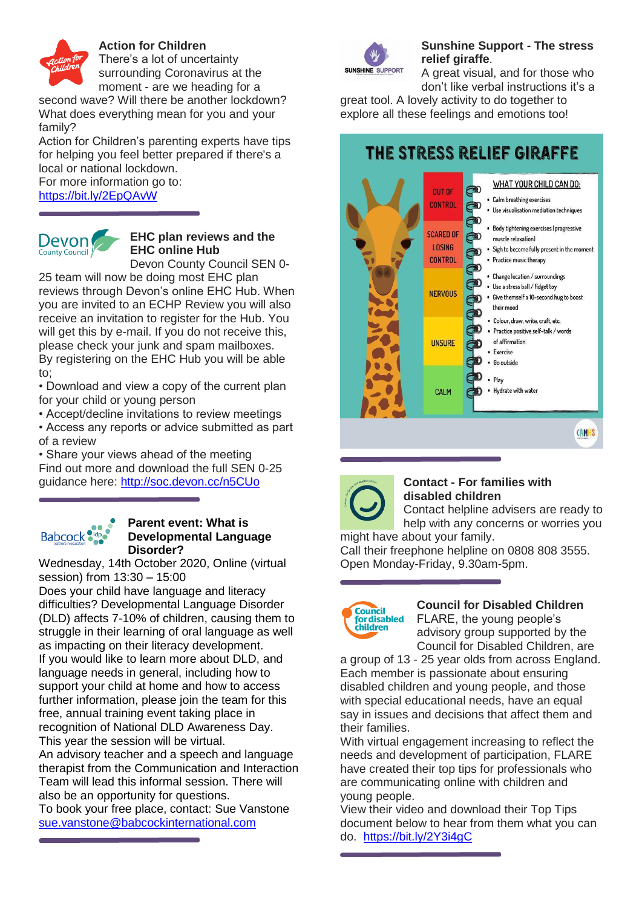

## **Action for Children**

There's a lot of uncertainty surrounding Coronavirus at the

moment - are we heading for a

second wave? Will there be another lockdown? What does everything mean for you and your family?

Action for Children's parenting experts have tips for helping you feel better prepared if there's a local or national lockdown. For more information go to:

<https://bit.ly/2EpQAvW>



# **EHC plan reviews and the EHC online Hub**

Devon County Council SEN 0-

25 team will now be doing most EHC plan reviews through Devon's online EHC Hub. When you are invited to an ECHP Review you will also receive an invitation to register for the Hub. You will get this by e-mail. If you do not receive this, please check your junk and spam mailboxes. By registering on the EHC Hub you will be able to;

• Download and view a copy of the current plan for your child or young person

• Accept/decline invitations to review meetings

• Access any reports or advice submitted as part of a review

• Share your views ahead of the meeting Find out more and download the full SEN 0-25 guidance here:<http://soc.devon.cc/n5CUo>

# **Babcock**

#### **Parent event: What is Developmental Language Disorder?**

Wednesday, 14th October 2020, Online (virtual session) from 13:30 – 15:00

Does your child have language and literacy difficulties? Developmental Language Disorder (DLD) affects 7-10% of children, causing them to struggle in their learning of oral language as well as impacting on their literacy development. If you would like to learn more about DLD, and language needs in general, including how to support your child at home and how to access further information, please join the team for this free, annual training event taking place in recognition of National DLD Awareness Day. This year the session will be virtual.

An advisory teacher and a speech and language therapist from the Communication and Interaction Team will lead this informal session. There will also be an opportunity for questions.

To book your free place, contact: Sue Vanstone [sue.vanstone@babcockinternational.com](mailto:sue.vanstone@babcockinternational.com)



# **Sunshine Support - The stress relief giraffe**.

A great visual, and for those who don't like verbal instructions it's a

great tool. A lovely activity to do together to explore all these feelings and emotions too!

# THE STRESS RELIEF GIRAFFE





## **Contact - For families with disabled children**

Contact helpline advisers are ready to help with any concerns or worries you might have about your family.

Call their freephone helpline on 0808 808 3555. Open Monday-Friday, 9.30am-5pm.



# **Council for Disabled Children**

FLARE, the young people's advisory group supported by the Council for Disabled Children, are

a group of 13 - 25 year olds from across England. Each member is passionate about ensuring disabled children and young people, and those with special educational needs, have an equal say in issues and decisions that affect them and their families.

With virtual engagement increasing to reflect the needs and development of participation, FLARE have created their top tips for professionals who are communicating online with children and young people.

View their video and download their Top Tips document below to hear from them what you can do. <https://bit.ly/2Y3i4gC>